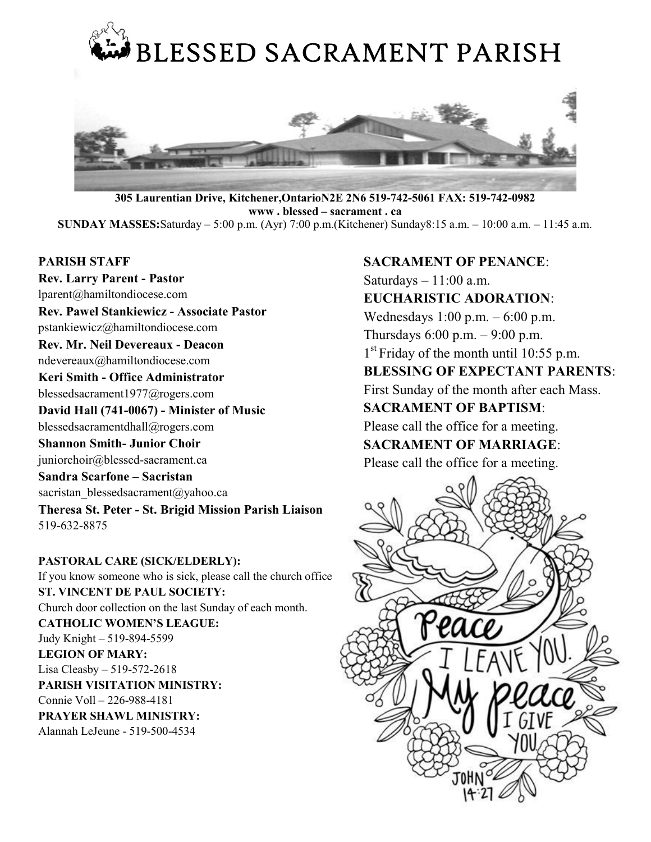

305 Laurentian Drive, Kitchener,OntarioN2E 2N6 519-742-5061 FAX: 519-742-0982 www . blessed – sacrament . ca SUNDAY MASSES:Saturday – 5:00 p.m. (Ayr) 7:00 p.m.(Kitchener) Sunday8:15 a.m. – 10:00 a.m. – 11:45 a.m.

#### PARISH STAFF

Rev. Larry Parent - Pastor lparent@hamiltondiocese.com Rev. Pawel Stankiewicz - Associate Pastor pstankiewicz@hamiltondiocese.com Rev. Mr. Neil Devereaux - Deacon ndevereaux@hamiltondiocese.com Keri Smith - Office Administrator blessedsacrament1977@rogers.com David Hall (741-0067) - Minister of Music blessedsacramentdhall@rogers.com Shannon Smith- Junior Choir juniorchoir@blessed-sacrament.ca Sandra Scarfone – Sacristan sacristan\_blessedsacrament@yahoo.ca Theresa St. Peter - St. Brigid Mission Parish Liaison 519-632-8875

PASTORAL CARE (SICK/ELDERLY): If you know someone who is sick, please call the church office ST. VINCENT DE PAUL SOCIETY: Church door collection on the last Sunday of each month. CATHOLIC WOMEN'S LEAGUE: Judy Knight – 519-894-5599 LEGION OF MARY: Lisa Cleasby – 519-572-2618 PARISH VISITATION MINISTRY: Connie Voll – 226-988-4181 PRAYER SHAWL MINISTRY: Alannah LeJeune - 519-500-4534

# SACRAMENT OF PENANCE:

Saturdays  $-11:00$  a.m.

# EUCHARISTIC ADORATION:

Wednesdays 1:00 p.m. – 6:00 p.m.

Thursdays  $6:00$  p.m.  $-9:00$  p.m.

1<sup>st</sup> Friday of the month until 10:55 p.m.

# BLESSING OF EXPECTANT PARENTS:

First Sunday of the month after each Mass.

# SACRAMENT OF BAPTISM:

Please call the office for a meeting.

# SACRAMENT OF MARRIAGE:

Please call the office for a meeting.

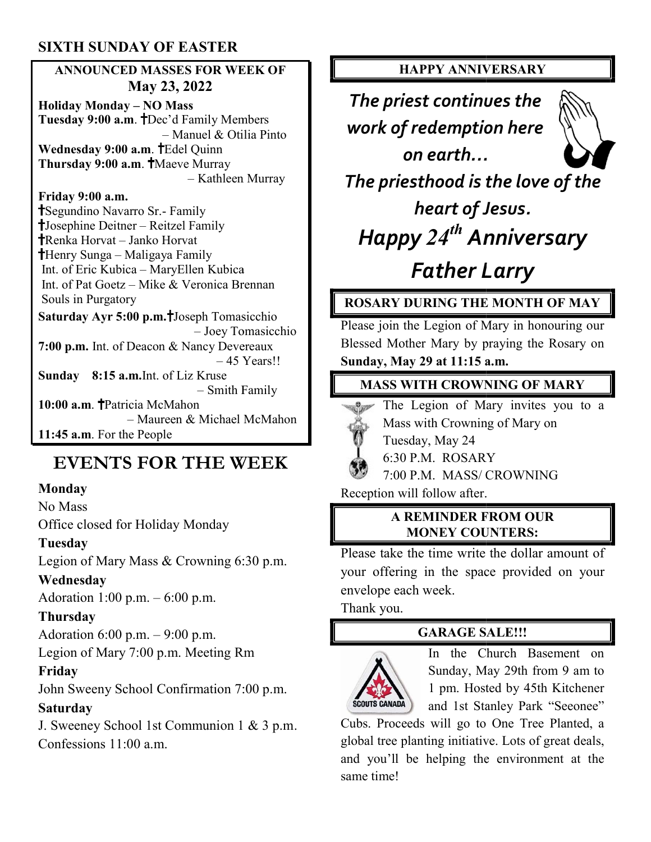# SIXTH SUNDAY OF EASTER

#### ANNOUNCED MASSES FOR WEEK OF ANNOUNCED MASSES FOR May 23, 2022

Holiday Monday – NO Mass Tuesday 9:00 a.m. Dec'd Family Members – Manuel & Otilia Pinto Wednesday 9:00 a.m. TEdel Quinn Thursday 9:00 a.m. TMaeve Murray – Kathleen Murray

#### Friday 9:00 a.m.

Segundino Navarro Sr.- Family Josephine Deitner – Reitzel Family Renka Horvat – Janko Horvat Henry Sunga – Maligaya Family Int. of Eric Kubica – MaryEllen Kubica Int. of Pat Goetz – Mike & Veronica Brennan Souls in Purgatory Saturday Ayr 5:00 p.m. Joseph Tomasicchio – Joey Tomasicchio 7:00 p.m. Int. of Deacon & Nancy Devereaux - Manuel &<br> **a.m. T**Edel Quinn<br>
.m. TMaeve Murray<br>
- Kathle<br>
.<br>
arro Sr.- Family<br>
er - Reitzel Family<br>
Janko Horvat<br>
Maligaya Family<br>
ca - MaryEllen Kut<br>
- Mike & Veronica<br>
ry<br>
00 p.m.TJoseph Tor<br>
- Joey<br>
Deacon & Nancy D

– 45 Years!!

Sunday 8:15 a.m.Int. of Liz Kruse – Smith Family 10:00 a.m. TPatricia McMahon – Maureen & Michael McMahon 11:45 a.m. For the People

# EVENTS FOR THE WEEK

#### Monday

No Mass

Office closed for Holiday Monday

#### Tuesday

Legion of Mary Mass & Crowning 6:30 p.m.

#### Wednesday

Adoration 1:00 p.m. – 6:00 p.m.

#### Thursday

Adoration 6:00 p.m. – 9:00 p.m.

Legion of Mary 7:00 p.m. Meeting Rm

#### Friday

John Sweeny School Confirmation 7:00 p.m. **Saturday** egion of Mary Mass & Crowning 6:30 p.m.<br> **Ednesday**<br>
doration 1:00 p.m. – 6:00 p.m.<br> **nursday**<br>
doration 6:00 p.m. – 9:00 p.m.<br>
egion of Mary 7:00 p.m. Meeting Rm<br> **iday**<br>
hn Sweeny School Confirmation 7:00 p.m.<br> **turday**<br>

J. Sweeney School 1st Communion 1 & 3 p.m Confessions 11:00 a.m.

#### HAPPY ANNIVERSARY HAPPY ANNIVERSARY

The priest continues the work of redemption here priest redemption here on earth…



The priesthood is the love of the

heart of Jesus. Happy 24<sup>th</sup> Anniversary

# Father Larry Father Larry

# ROSARY DURING THE MONTH OF MAY

Please join the Legion of Mary in honouring our<br>Blessed Mother Mary by praying the Rosary on Blessed Mother Mary by praying the Rosary on Sunday, May 29 at 11:15 a.m.

#### **MASS WITH CROWNING OF MARY**

The Legion of Mary invites you to a<br>Mass with Crowning of Mary on<br>Tuesday, May 24<br>6:30 P.M. ROSARY



Mass with Crowning of Mary on

Tuesday, May 24

6:30 P.M. ROSARY

7:00 P.M. MASS/ CROWNING **27** 7:00 P.M. MASS/ CROWNING<br>Reception will follow after.

#### A REMINDER FROM OUR MONEY COUNTERS:

Please take the time write the dollar amount of Please take the time write the dollar amount of your offering in the space provided on your envelope each week.

Thank you.

#### GARAGE SALE!!!



In the Church Basement on Sunday, May 29th from 9 am to 1 pm. Hosted by 45th Kitchener and 1st Stanley Park "Seeonee"

Cubs. Proceeds will go to One Tree Planted, a global tree planting initiative. Lots of great deals, and you'll be helping the environment at the same time! In the Church Basement<br>
Sunday, May 29th from 9 am<br>
1 pm. Hosted by 45th Kitchen<br>
and 1st Stanley Park "Seeone<br>
Cubs. Proceeds will go to One Tree Planted,<br>
global tree planting initiative. Lots of great dea<br>
and you'll be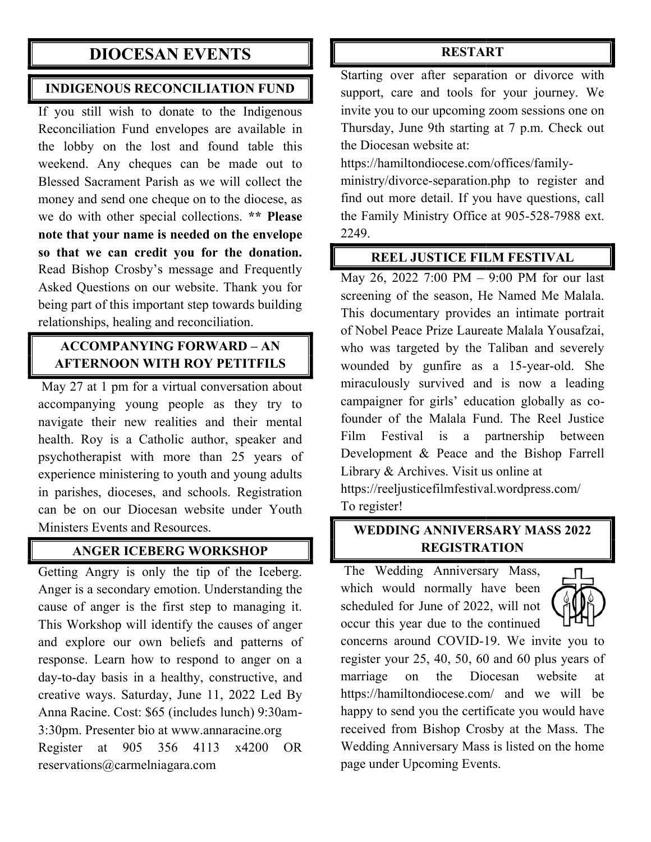# DIOCESAN EVENTS

#### INDIGENOUS RECONCILIATION FUND

If you still wish to donate to the Indigenous Reconciliation Fund envelopes are available in the lobby on the lost and found table this weekend. Any cheques can be made out to Blessed Sacrament Parish as we will collect the money and send one cheque on to the diocese, as we do with other special collections. \*\* Please note that your name is needed on the envelope so that we can credit you for the donation. Read Bishop Crosby's message and Frequently Asked Questions on our website. Thank you for Read Bishop Crosby's message and Frequently<br>Asked Questions on our website. Thank you for<br>being part of this important step towards building relationships, healing and reconciliation. **CESAIN EVENTIS**<br> **EXERCIVENTS**<br> **EXERCIVENTS**<br> **EXERCIVENTS**<br> **EXERCIVENTS**<br> **EXERCIVENTS**<br> **EXERCIVENTS**<br> **EXERCIVENTS**<br> **EXERCIVENTS**<br> **EXERCIVENTS**<br> **EXERCIVENTS**<br> **EXERCIVENTS**<br> **EXERCIVENTS**<br> **EXERCIVENTS**<br> **EXERCIV** 

# ACCOMPANYING FORWARD – AN AFTERNOON WITH ROY PETITFILS

May 27 at 1 pm for a virtual conversation about accompanying young people as they try to navigate their new realities and their mental health. Roy is a Catholic author, speaker and psychotherapist with more than 25 years experience ministering to youth and young adults in parishes, dioceses, and schools. Registration can be on our Diocesan website under Youth Ministers Events and Resources. virtual conversation about<br>people as they try to<br>ealities and their mental<br>nolic author, speaker and<br>more than 25 years of experience ministering to youth and young<br>in parishes, dioceses, and schools. Regis<br>can be on our Diocesan website under

#### ANGER ICEBERG WORKSHOP ICEBERG

Getting Angry is only the tip of the Iceberg. Anger is a secondary emotion. Understanding the cause of anger is the first step to managing it.<br>This Workshop will identify the causes of anger<br>and explore our own beliefs and patterns of This Workshop will identify the causes of anger and explore our own beliefs and patterns of response. Learn how to respond to anger on a day-to-day basis in a healthy, constructive, and day-to-day basis in a healthy, constructive, and creative ways. Saturday, June 11, 2022 Led By creative ways. Saturday, June 11, 2022 Led By<br>Anna Racine. Cost: \$65 (includes lunch) 9:30am-3:30pm. Presenter bio at www.annaracine.org Register at 905 356 4113 x4200 OR reservations@carmelniagara.com

Starting over after separation or divorce with support, care and tools for your journey. We invite you to our upcoming zoom sessions one on Thursday, June 9th starting at 7 p.m. Check out the Diocesan website at: support, care and tools for your journey. We<br>invite you to our upcoming zoom sessions one on<br>Thursday, June 9th starting at 7 p.m. Check out<br>the Diocesan website at:<br>https://hamiltondiocese.com/offices/family-

https://hamiltondiocese.com/offices/family

ministry/divorce-separation.php to register and find out more detail. If you have questions, call the Family Ministry Office at 905-528-7988 ext. 2249. ministry/divorce-separation.php to register and<br>find out more detail. If you have questions, call<br>the Family Ministry Office at 905-528-7988 ext.

#### REEL JUSTICE FILM FESTIVAL

May 26, 2022 7:00 PM – 9:00 PM for our last screening of the season, He Named Me Malala. This documentary provides an intimate portrait of Nobel Peace Prize Laureate Malala Yousafzai, who was targeted by the Taliban and severely screening of the season, He Named Me Malala.<br>This documentary provides an intimate portrait<br>of Nobel Peace Prize Laureate Malala Yousafzai,<br>who was targeted by the Taliban and severely<br>wounded by gunfire as a 15-year-old. miraculously survived and is now a leading miraculously survived and is now a leading<br>campaigner for girls' education globally as cofounder of the Malala Fund. The Reel Justice Film Festival is a partnership between Development & Peace and the Bishop Farrell Library & Archives. Visit us online at founder of the Malala Fund. The Reel Jus<br>Film Festival is a partnership betw<br>Development & Peace and the Bishop Far<br>Library & Archives. Visit us online at<br>https://reeljusticefilmfestival.wordpress.com/

To register!

### WEDDING ANNIVERSARY MASS 2022 MASS 2022 REGISTRATION

The Wedding Anniversary Mass, which would normally have been scheduled for June of 2022, will not occur this year due to the continued



concerns around COVID-19. We invite you to register your 25, 40, 50, 60 and 60 plus years of marriage on the Diocesan website at https://hamiltondiocese.com/ and we will be happy to send you the certificate you would have received from Bishop Crosby at the Mass. The Wedding Anniversary Mass is listed on the home page under Upcoming Events. page under Upcoming Events. The Wedding Anniversary Mass,<br>which would normally have been<br>scheduled for June of 2022, will not<br>occur this year due to the continued<br>concerns around COVID-19. We invite you to<br>register your 25, 40, 50, 60 and 60 plus yea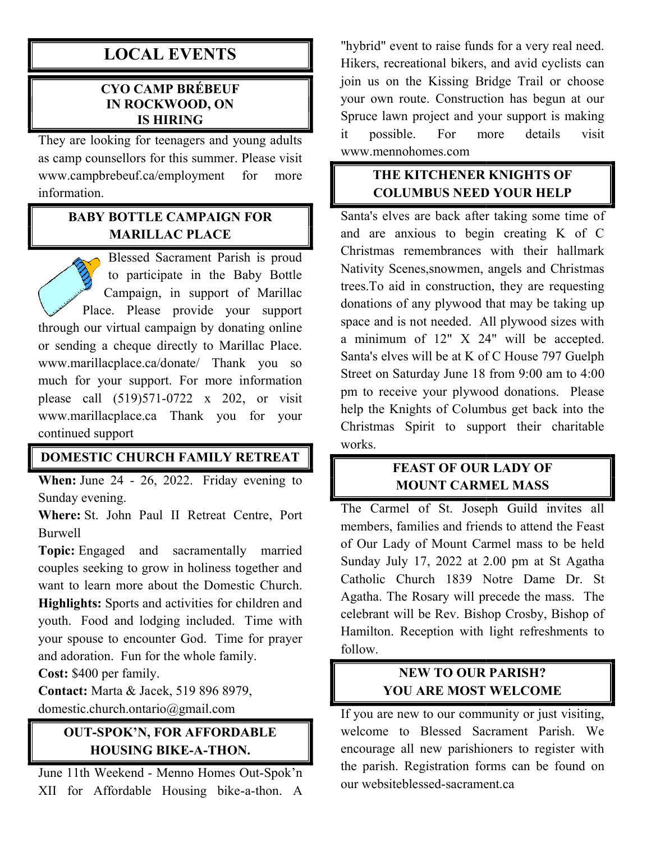# LOCAL EVENTS

#### CYO CAMP BRÉBEUF IN ROCKWOOD, ON IS HIRING

They are looking for teenagers and young adults as camp counsellors for this summer. Please visit<br>www.campbrebeuf.ca/employment for more www.campbrebeuf.ca/employment for more information.

#### BABY BOTTLE CAMPAIGN FOR MARILLAC PLACE

Blessed Sacrament Parish is proud Blessed Sacrament Parish is proud<br>to participate in the Baby Bottle Campaign, in support of Marillac Place. Please provide your support through our virtual campaign by donating online or sending a cheque directly to Marillac Place. www.marillacplace.ca/donate/ Thank you so much for your support. For more information please call (519)571-0722 x 202, or visit www.marillacplace.ca Thank you for your continued support www.marillacplace.ca/donate/ Thank you so<br>much for your support. For more information<br>please call (519)571-0722 x 202, or visit<br>www.marillacplace.ca Thank you for your<br>continued support<br>**DOMESTIC CHURCH FAMILY RETREAT**<br>Whe support of Marillac<br>rovide your support<br>ign by donating online

#### DOMESTIC CHURCH FAMILY RETREAT

Sunday evening.

Where: St. John Paul II Retreat Centre, Port Burwell

Topic: Engaged and sacramentally married couples seeking to grow in holiness together and want to learn more about the Domestic Church. Highlights: Sports and activities for children and youth. Food and lodging included. your spouse to encounter God. Time for prayer and adoration. Fun for the whole family. and adoration. Fun for the whole family.<br>Cost: \$400 per family.<br>Contact: Marta & Jacek, 519 896 8979, Engaged and sacramentally married<br>seeking to grow in holiness together and<br>learn more about the Domestic Church.<br>**hts:** Sports and activities for children and<br>Food and lodging included. Time with

Cost: \$400 per family.

domestic.church.ontario@gmail.com

# OUT-SPOK'N, FOR AFFORDABLE `-SPOK'N, FOR AFFORDA`<br>HOUSING BIKE-A-THON.

June 11th Weekend - Menno Homes Out-Spok'n XII for Affordable Housing bike--a-thon. A "hybrid" event to raise funds for a very real need. Hikers, recreational bikers, and avid cyclists can join us on the Kissing Bridge Trail or choose your own route. Construction has begun at our Spruce lawn project and your support is making it possible. For more details visit www.mennohomes.com "hybrid" event to raise funds for a very real no<br>Hikers, recreational bikers, and avid cyclists<br>join us on the Kissing Bridge Trail or cho<br>your own route. Construction has begun at<br>Spruce lawn project and your support is m

# THE KITCHENER KNIGHTS OF COLUMBUS NEED YOUR HELP

Santa's elves are back after taking some time of and are anxious to begin creating K of C Christmas remembrances with their hallmark Nativity Scenes,snowmen, angels and Christmas trees.To aid in construction, they are requesting donations of any plywood that may be taking up space and is not needed. All plywood sizes with a minimum of 12" X 24" will be accepted. Santa's elves will be at K of C House 797 Guelph Street on Saturday June 18 from 9:00 am to 4:0 pm to receive your plywood donations. Please help the Knights of Columbus get back into the Christmas Spirit to support their charitable works. and are anxious to begin creating K of C<br>Christmas remembrances with their hallmark<br>Nativity Scenes, snowmen, angels and Christmas<br>trees. To aid in construction, they are requesting<br>donations of any plywood that may be ta

# FEAST OF OUR LADY OF MOUNT CARMEL MASS

The Carmel of St. Joseph Guild invites all members, families and friends to attend the Feast of Our Lady of Mount Carmel mass to be held Sunday July 17, 2022 at 2.00 pm at St Agatha Catholic Church 1839 Notre Dame Dr. St Agatha. The Rosary will precede the mass. The celebrant will be Rev. Bishop Crosby, Bishop of Hamilton. Reception with light refreshments to follow. pm to receive your plywood donations. Please<br>help the Knights of Columbus get back into the<br>Christmas Spirit to support their charitable<br>works.<br>**FEAST OF OUR LADY OF**<br>**MOUNT CARMEL MASS**<br>The Carmel of St. Joseph Guild invi Agatha. The Rosary will precede the n<br>celebrant will be Rev. Bishop Crosby,<br>Hamilton. Reception with light refres

# NEW TO OUR PARISH? YOU ARE MOST WELCOME

If you are new to our community or just visiting, welcome to Blessed Sacrament Parish. We encourage all new parishioners to register with the parish. Registration forms can be found on our websiteblessed-sacrament.ca sacrament.caIf you are new to our community or just visiting, welcome to Blessed Sacrament Parish. We encourage all new parishioners to register with the parish. Registration forms can be found on